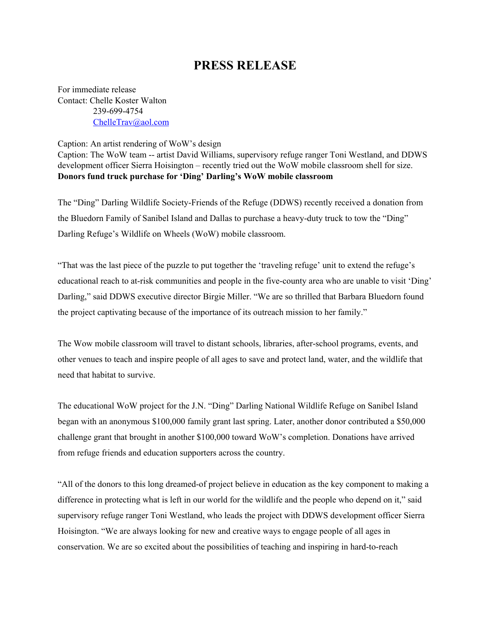## **PRESS RELEASE**

For immediate release Contact: Chelle Koster Walton 239-699-4754 [ChelleTrav@aol.com](mailto:ChelleTrav@aol.com)

Caption: An artist rendering of WoW's design

Caption: The WoW team -- artist David Williams, supervisory refuge ranger Toni Westland, and DDWS development officer Sierra Hoisington – recently tried out the WoW mobile classroom shell for size. **Donors fund truck purchase for 'Ding' Darling's WoW mobile classroom**

The "Ding" Darling Wildlife Society-Friends of the Refuge (DDWS) recently received a donation from the Bluedorn Family of Sanibel Island and Dallas to purchase a heavy-duty truck to tow the "Ding" Darling Refuge's Wildlife on Wheels (WoW) mobile classroom.

"That was the last piece of the puzzle to put together the 'traveling refuge' unit to extend the refuge's educational reach to at-risk communities and people in the five-county area who are unable to visit 'Ding' Darling," said DDWS executive director Birgie Miller. "We are so thrilled that Barbara Bluedorn found the project captivating because of the importance of its outreach mission to her family."

The Wow mobile classroom will travel to distant schools, libraries, after-school programs, events, and other venues to teach and inspire people of all ages to save and protect land, water, and the wildlife that need that habitat to survive.

The educational WoW project for the J.N. "Ding" Darling National Wildlife Refuge on Sanibel Island began with an anonymous \$100,000 family grant last spring. Later, another donor contributed a \$50,000 challenge grant that brought in another \$100,000 toward WoW's completion. Donations have arrived from refuge friends and education supporters across the country.

"All of the donors to this long dreamed-of project believe in education as the key component to making a difference in protecting what is left in our world for the wildlife and the people who depend on it," said supervisory refuge ranger Toni Westland, who leads the project with DDWS development officer Sierra Hoisington. "We are always looking for new and creative ways to engage people of all ages in conservation. We are so excited about the possibilities of teaching and inspiring in hard-to-reach